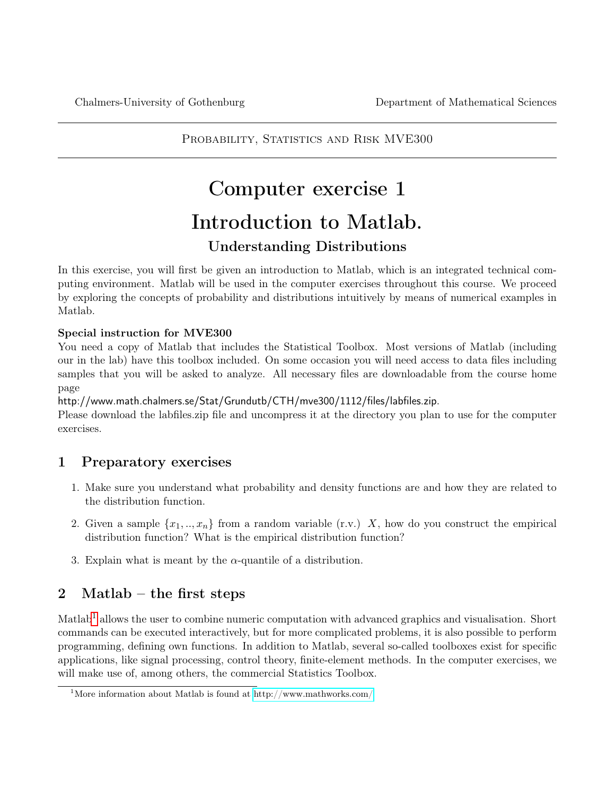PROBABILITY, STATISTICS AND RISK MVE300

# Computer exercise 1 Introduction to Matlab. Understanding Distributions

In this exercise, you will first be given an introduction to Matlab, which is an integrated technical computing environment. Matlab will be used in the computer exercises throughout this course. We proceed by exploring the concepts of probability and distributions intuitively by means of numerical examples in Matlab.

## Special instruction for MVE300

You need a copy of Matlab that includes the Statistical Toolbox. Most versions of Matlab (including our in the lab) have this toolbox included. On some occasion you will need access to data files including samples that you will be asked to analyze. All necessary files are downloadable from the course home page

http://www.math.chalmers.se/Stat/Grundutb/CTH/mve300/1112/files/labfiles.zip.

Please download the labfiles.zip file and uncompress it at the directory you plan to use for the computer exercises.

## 1 Preparatory exercises

- 1. Make sure you understand what probability and density functions are and how they are related to the distribution function.
- 2. Given a sample  $\{x_1, ..., x_n\}$  from a random variable  $(r.v.)$  X, how do you construct the empirical distribution function? What is the empirical distribution function?
- 3. Explain what is meant by the  $\alpha$ -quantile of a distribution.

## 2 Matlab – the first steps

Matlab<sup>[1](#page-0-0)</sup> allows the user to combine numeric computation with advanced graphics and visualisation. Short commands can be executed interactively, but for more complicated problems, it is also possible to perform programming, defining own functions. In addition to Matlab, several so-called toolboxes exist for specific applications, like signal processing, control theory, finite-element methods. In the computer exercises, we will make use of, among others, the commercial Statistics Toolbox.

<span id="page-0-0"></span><sup>&</sup>lt;sup>1</sup>More information about Matlab is found at<http://www.mathworks.com/>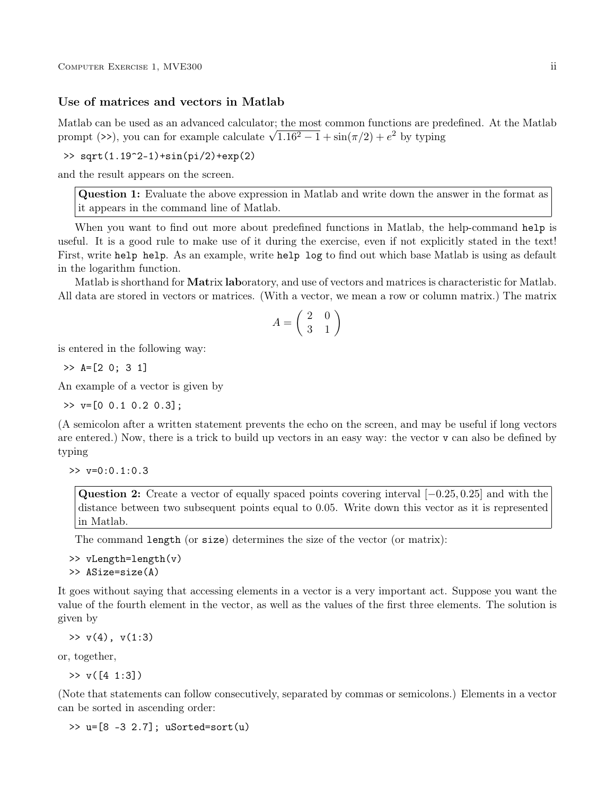## Use of matrices and vectors in Matlab

Matlab can be used as an advanced calculator; the most common functions are predefined. At the Matlab Matiab can be used as an advanced calculator; the most common functions are pre<br>prompt (>>), you can for example calculate  $\sqrt{1.16^2 - 1} + \sin(\pi/2) + e^2$  by typing

 $\gg$  sqrt(1.19<sup> $-2$ </sup>-1)+sin(pi/2)+exp(2)

and the result appears on the screen.

Question 1: Evaluate the above expression in Matlab and write down the answer in the format as it appears in the command line of Matlab.

When you want to find out more about predefined functions in Matlab, the help-command help is useful. It is a good rule to make use of it during the exercise, even if not explicitly stated in the text! First, write help help. As an example, write help log to find out which base Matlab is using as default in the logarithm function.

Matlab is shorthand for Matrix laboratory, and use of vectors and matrices is characteristic for Matlab. All data are stored in vectors or matrices. (With a vector, we mean a row or column matrix.) The matrix

$$
A = \left(\begin{array}{cc} 2 & 0 \\ 3 & 1 \end{array}\right)
$$

is entered in the following way:

 $\gg$  A=[2 0; 3 1]

An example of a vector is given by

 $\gg$  v=[0 0.1 0.2 0.3];

(A semicolon after a written statement prevents the echo on the screen, and may be useful if long vectors are entered.) Now, there is a trick to build up vectors in an easy way: the vector v can also be defined by typing

 $>> v=0:0.1:0.3$ 

Question 2: Create a vector of equally spaced points covering interval [−0.25, 0.25] and with the distance between two subsequent points equal to 0.05. Write down this vector as it is represented in Matlab.

The command length (or size) determines the size of the vector (or matrix):

```
>> vLength=length(v)
>> ASize=size(A)
```
It goes without saying that accessing elements in a vector is a very important act. Suppose you want the value of the fourth element in the vector, as well as the values of the first three elements. The solution is given by

 $>> v(4)$ ,  $v(1:3)$ 

or, together,

 $>> v([4 1:3])$ 

(Note that statements can follow consecutively, separated by commas or semicolons.) Elements in a vector can be sorted in ascending order:

>> u=[8 -3 2.7]; uSorted=sort(u)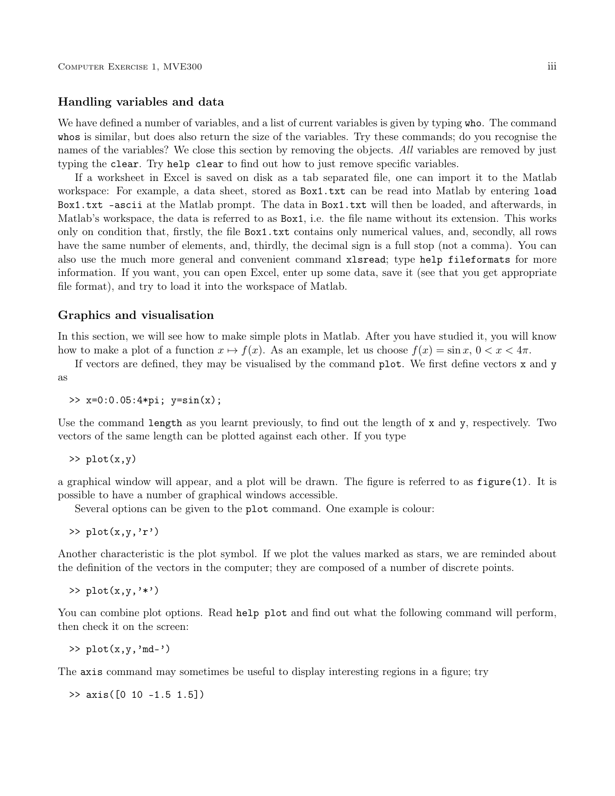## Handling variables and data

We have defined a number of variables, and a list of current variables is given by typing who. The command whos is similar, but does also return the size of the variables. Try these commands; do you recognise the names of the variables? We close this section by removing the objects. All variables are removed by just typing the clear. Try help clear to find out how to just remove specific variables.

If a worksheet in Excel is saved on disk as a tab separated file, one can import it to the Matlab workspace: For example, a data sheet, stored as Box1.txt can be read into Matlab by entering load Box1.txt -ascii at the Matlab prompt. The data in Box1.txt will then be loaded, and afterwards, in Matlab's workspace, the data is referred to as Box1, i.e. the file name without its extension. This works only on condition that, firstly, the file Box1.txt contains only numerical values, and, secondly, all rows have the same number of elements, and, thirdly, the decimal sign is a full stop (not a comma). You can also use the much more general and convenient command xlsread; type help fileformats for more information. If you want, you can open Excel, enter up some data, save it (see that you get appropriate file format), and try to load it into the workspace of Matlab.

### Graphics and visualisation

In this section, we will see how to make simple plots in Matlab. After you have studied it, you will know how to make a plot of a function  $x \mapsto f(x)$ . As an example, let us choose  $f(x) = \sin x$ ,  $0 < x < 4\pi$ .

If vectors are defined, they may be visualised by the command  $plot$ . We first define vectors x and y as

>> x=0:0.05:4\*pi; y=sin(x);

Use the command length as you learnt previously, to find out the length of x and y, respectively. Two vectors of the same length can be plotted against each other. If you type

>> plot(x,y)

a graphical window will appear, and a plot will be drawn. The figure is referred to as figure(1). It is possible to have a number of graphical windows accessible.

Several options can be given to the plot command. One example is colour:

 $\gg$  plot(x,y,'r')

Another characteristic is the plot symbol. If we plot the values marked as stars, we are reminded about the definition of the vectors in the computer; they are composed of a number of discrete points.

 $\gg$  plot $(x,y,'*)$ 

You can combine plot options. Read help plot and find out what the following command will perform, then check it on the screen:

 $\gg$  plot $(x,y,'md-)$ 

The axis command may sometimes be useful to display interesting regions in a figure; try

>> axis([0 10 -1.5 1.5])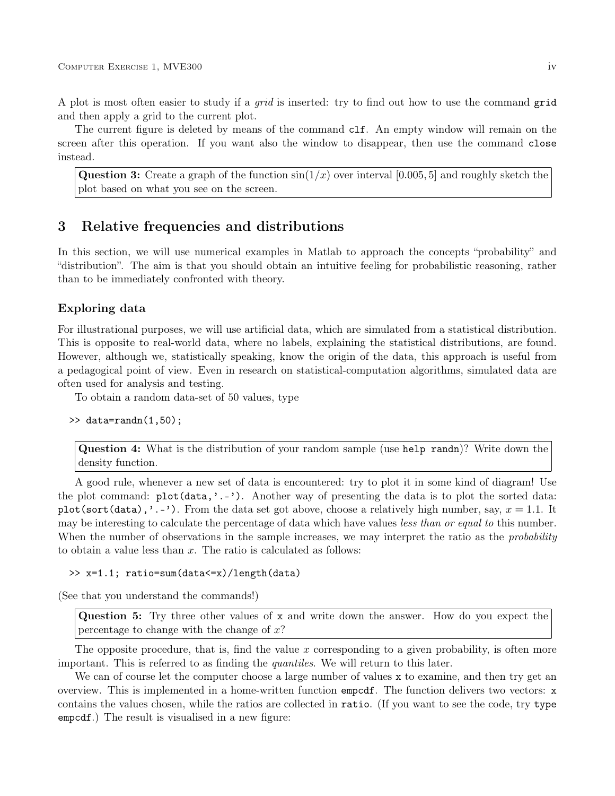A plot is most often easier to study if a grid is inserted: try to find out how to use the command grid and then apply a grid to the current plot.

The current figure is deleted by means of the command clf. An empty window will remain on the screen after this operation. If you want also the window to disappear, then use the command close instead.

**Question 3:** Create a graph of the function  $sin(1/x)$  over interval [0.005, 5] and roughly sketch the plot based on what you see on the screen.

## 3 Relative frequencies and distributions

In this section, we will use numerical examples in Matlab to approach the concepts "probability" and "distribution". The aim is that you should obtain an intuitive feeling for probabilistic reasoning, rather than to be immediately confronted with theory.

## Exploring data

For illustrational purposes, we will use artificial data, which are simulated from a statistical distribution. This is opposite to real-world data, where no labels, explaining the statistical distributions, are found. However, although we, statistically speaking, know the origin of the data, this approach is useful from a pedagogical point of view. Even in research on statistical-computation algorithms, simulated data are often used for analysis and testing.

To obtain a random data-set of 50 values, type

```
\gg data=randn(1,50);
```
Question 4: What is the distribution of your random sample (use help randn)? Write down the density function.

A good rule, whenever a new set of data is encountered: try to plot it in some kind of diagram! Use the plot command: plot(data,'.-'). Another way of presenting the data is to plot the sorted data: plot(sort(data),'.-'). From the data set got above, choose a relatively high number, say,  $x = 1.1$ . It may be interesting to calculate the percentage of data which have values less than or equal to this number. When the number of observations in the sample increases, we may interpret the ratio as the *probability* to obtain a value less than  $x$ . The ratio is calculated as follows:

### >> x=1.1; ratio=sum(data<=x)/length(data)

(See that you understand the commands!)

Question 5: Try three other values of x and write down the answer. How do you expect the percentage to change with the change of  $x$ ?

The opposite procedure, that is, find the value x corresponding to a given probability, is often more important. This is referred to as finding the quantiles. We will return to this later.

We can of course let the computer choose a large number of values x to examine, and then try get an overview. This is implemented in a home-written function empcdf. The function delivers two vectors: x contains the values chosen, while the ratios are collected in ratio. (If you want to see the code, try type empcdf.) The result is visualised in a new figure: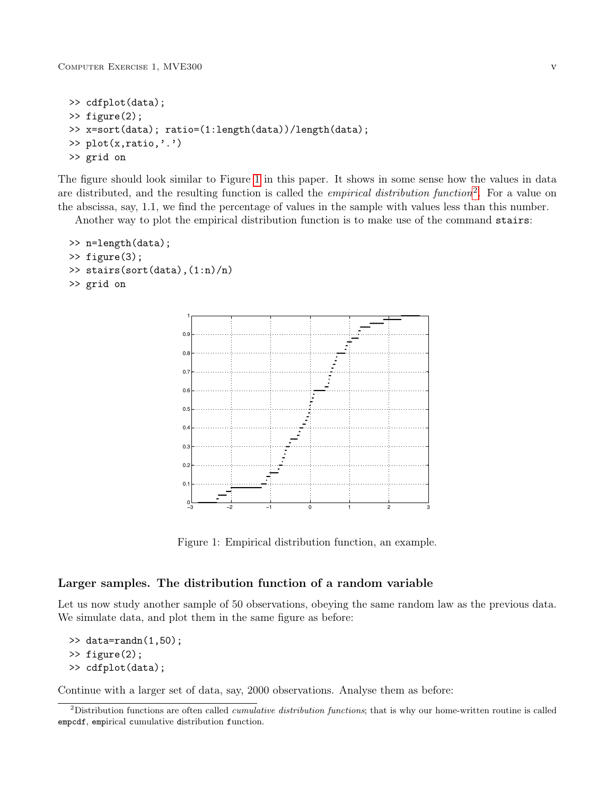```
>> cdfplot(data);
>> figure(2);
>> x=sort(data); ratio=(1:length(data))/length(data);
>> plot(x,ratio,'.')
>> grid on
```
The figure should look similar to Figure [1](#page-4-0) in this paper. It shows in some sense how the values in data are distributed, and the resulting function is called the *empirical distribution function*<sup>[2](#page-4-1)</sup>. For a value on the abscissa, say, 1.1, we find the percentage of values in the sample with values less than this number.

Another way to plot the empirical distribution function is to make use of the command stairs:

```
>> n=length(data);
>> figure(3);
>> stairs(sort(data),(1:n)/n)
>> grid on
```


<span id="page-4-0"></span>Figure 1: Empirical distribution function, an example.

## Larger samples. The distribution function of a random variable

Let us now study another sample of 50 observations, obeying the same random law as the previous data. We simulate data, and plot them in the same figure as before:

```
\gg data=randn(1,50);
```

```
>> figure(2);
```

```
>> cdfplot(data);
```
Continue with a larger set of data, say, 2000 observations. Analyse them as before:

<span id="page-4-1"></span><sup>&</sup>lt;sup>2</sup>Distribution functions are often called *cumulative distribution functions*; that is why our home-written routine is called empcdf, empirical cumulative distribution function.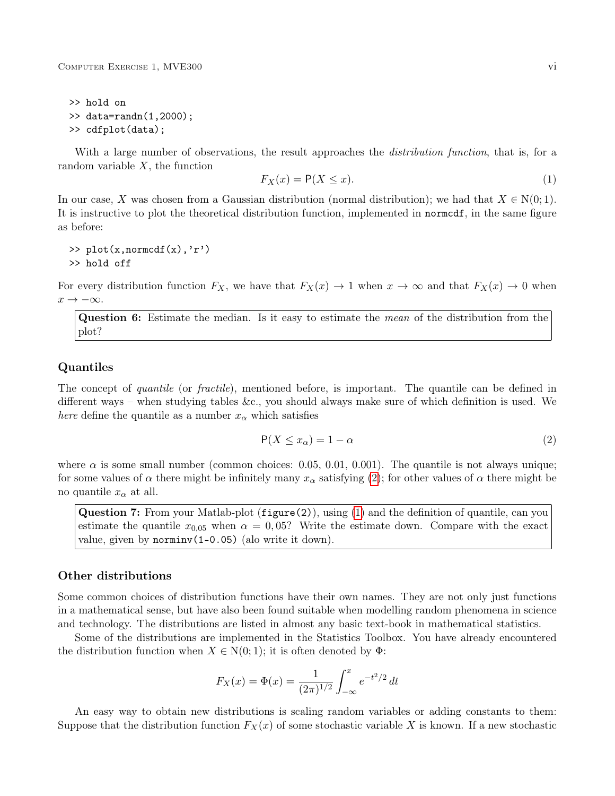>> hold on >> data=randn(1,2000); >> cdfplot(data);

With a large number of observations, the result approaches the *distribution function*, that is, for a random variable  $X$ , the function

<span id="page-5-1"></span>
$$
F_X(x) = \mathsf{P}(X \le x). \tag{1}
$$

In our case, X was chosen from a Gaussian distribution (normal distribution); we had that  $X \in N(0, 1)$ . It is instructive to plot the theoretical distribution function, implemented in normcdf, in the same figure as before:

 $\gg$  plot(x,normcdf(x),'r') >> hold off

For every distribution function  $F_X$ , we have that  $F_X(x) \to 1$  when  $x \to \infty$  and that  $F_X(x) \to 0$  when  $x \to -\infty$ .

Question 6: Estimate the median. Is it easy to estimate the *mean* of the distribution from the plot?

## Quantiles

The concept of *quantile* (or *fractile*), mentioned before, is important. The quantile can be defined in different ways – when studying tables &c., you should always make sure of which definition is used. We *here* define the quantile as a number  $x_{\alpha}$  which satisfies

<span id="page-5-0"></span>
$$
P(X \le x_{\alpha}) = 1 - \alpha \tag{2}
$$

where  $\alpha$  is some small number (common choices: 0.05, 0.01, 0.001). The quantile is not always unique; for some values of  $\alpha$  there might be infinitely many  $x_{\alpha}$  satisfying [\(2\)](#page-5-0); for other values of  $\alpha$  there might be no quantile  $x_{\alpha}$  at all.

Question 7: From your Matlab-plot (figure(2)), using [\(1\)](#page-5-1) and the definition of quantile, can you estimate the quantile  $x_{0.05}$  when  $\alpha = 0.05$ ? Write the estimate down. Compare with the exact value, given by norminv(1-0.05) (alo write it down).

#### Other distributions

Some common choices of distribution functions have their own names. They are not only just functions in a mathematical sense, but have also been found suitable when modelling random phenomena in science and technology. The distributions are listed in almost any basic text-book in mathematical statistics.

Some of the distributions are implemented in the Statistics Toolbox. You have already encountered the distribution function when  $X \in N(0, 1)$ ; it is often denoted by  $\Phi$ :

$$
F_X(x) = \Phi(x) = \frac{1}{(2\pi)^{1/2}} \int_{-\infty}^x e^{-t^2/2} dt
$$

An easy way to obtain new distributions is scaling random variables or adding constants to them: Suppose that the distribution function  $F_X(x)$  of some stochastic variable X is known. If a new stochastic